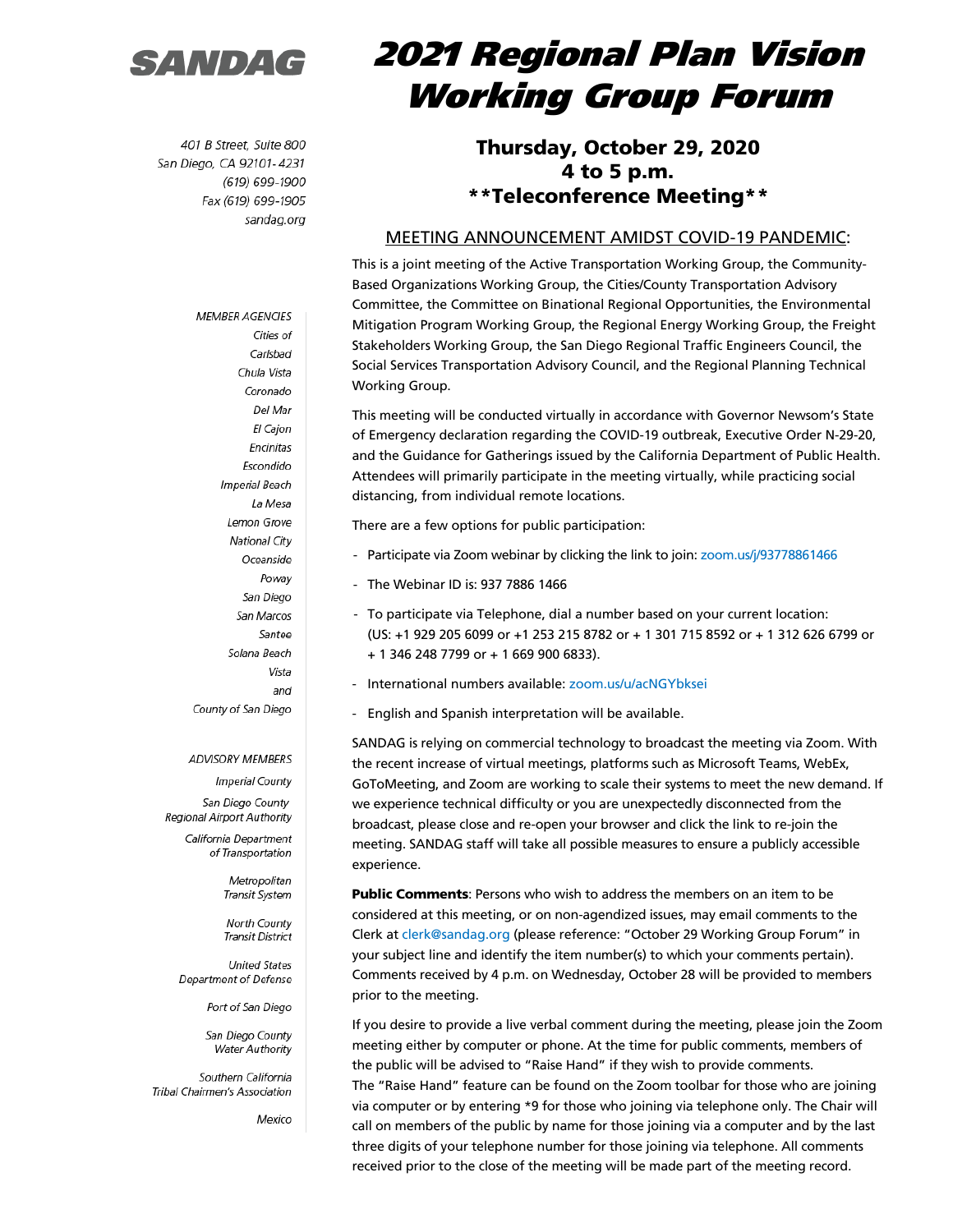SANDAG

401 B Street, Suite 800 San Diego, CA 92101-4231 (619) 699-1900 Fax (619) 699-1905 sandag.org

**MEMBER AGENCIES** Cities of Carlsbad Chula Vista Coronado Del Mar El Cajon Encinitas Escondido **Imperial Beach** La Mesa Lemon Grove **National City** Oceanside Poway San Diego San Marcos Santee Solana Beach Vista and County of San Diego

### **ADVISORY MEMBERS**

**Imperial County** San Diego County Regional Airport Authority

> California Department of Transportation

> > Metropolitan **Transit System**

North County **Transit District** 

**United States** Department of Defense

Port of San Diego

San Diego County **Water Authority** 

Southern California Tribal Chairmen's Association

Mexico

## 2021 Regional Plan Vision Working Group Forum

### Thursday, October 29, 2020 4 to 5 p.m. \*\*Teleconference Meeting\*\*

### MEETING ANNOUNCEMENT AMIDST COVID-19 PANDEMIC:

This is a joint meeting of the Active Transportation Working Group, the Community-Based Organizations Working Group, the Cities/County Transportation Advisory Committee, the Committee on Binational Regional Opportunities, the Environmental Mitigation Program Working Group, the Regional Energy Working Group, the Freight Stakeholders Working Group, the San Diego Regional Traffic Engineers Council, the Social Services Transportation Advisory Council, and the Regional Planning Technical Working Group.

This meeting will be conducted virtually in accordance with Governor Newsom's State of Emergency declaration regarding the COVID-19 outbreak, Executive Order N-29-20, and the Guidance for Gatherings issued by the California Department of Public Health. Attendees will primarily participate in the meeting virtually, while practicing social distancing, from individual remote locations.

There are a few options for public participation:

- Participate via Zoom webinar by clicking the link to join[: zoom.us/j/93778861466](https://zoom.us/j/93778861466)
- The Webinar ID is: 937 7886 1466
- To participate via Telephone, dial a number based on your current location: (US: +1 929 205 6099 or +1 253 215 8782 or + 1 301 715 8592 or + 1 312 626 6799 or + 1 346 248 7799 or + 1 669 900 6833).
- International numbers available: [zoom.us/u/acNGYbksei](https://zoom.us/u/acNGYbksei)
- English and Spanish interpretation will be available.

SANDAG is relying on commercial technology to broadcast the meeting via Zoom. With the recent increase of virtual meetings, platforms such as Microsoft Teams, WebEx, GoToMeeting, and Zoom are working to scale their systems to meet the new demand. If we experience technical difficulty or you are unexpectedly disconnected from the broadcast, please close and re-open your browser and click the link to re-join the meeting. SANDAG staff will take all possible measures to ensure a publicly accessible experience.

**Public Comments:** Persons who wish to address the members on an item to be considered at this meeting, or on non-agendized issues, may email comments to the Clerk a[t clerk@sandag.org](mailto:clerk@sandag.org) (please reference: "October 29 Working Group Forum" in your subject line and identify the item number(s) to which your comments pertain). Comments received by 4 p.m. on Wednesday, October 28 will be provided to members prior to the meeting.

If you desire to provide a live verbal comment during the meeting, please join the Zoom meeting either by computer or phone. At the time for public comments, members of the public will be advised to "Raise Hand" if they wish to provide comments. The "Raise Hand" feature can be found on the Zoom toolbar for those who are joining via computer or by entering \*9 for those who joining via telephone only. The Chair will call on members of the public by name for those joining via a computer and by the last three digits of your telephone number for those joining via telephone. All comments received prior to the close of the meeting will be made part of the meeting record.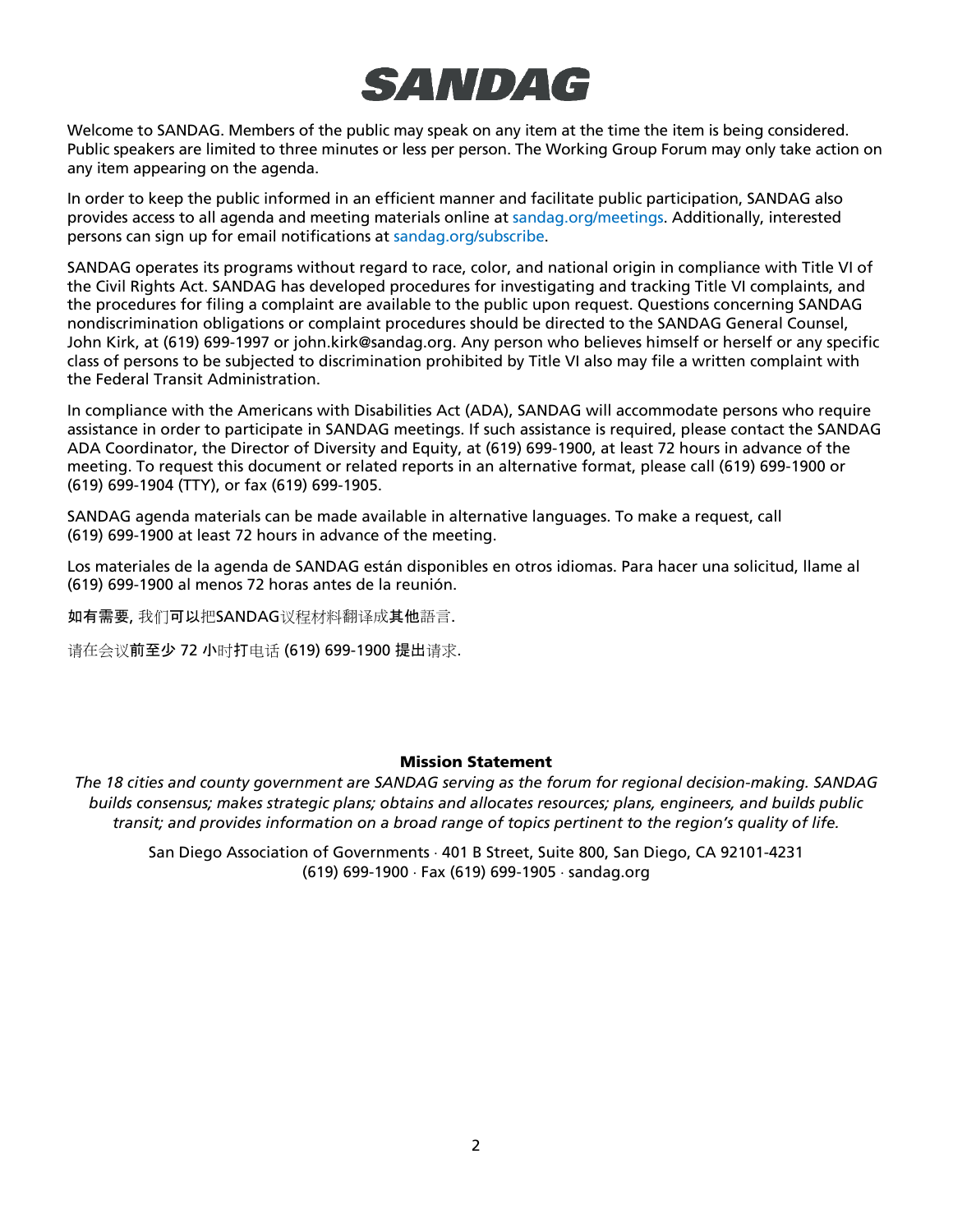# **SANDAG**

Welcome to SANDAG. Members of the public may speak on any item at the time the item is being considered. Public speakers are limited to three minutes or less per person. The Working Group Forum may only take action on any item appearing on the agenda.

In order to keep the public informed in an efficient manner and facilitate public participation, SANDAG also provides access to all agenda and meeting materials online at [sandag.org/meetings.](https://www.sandag.org/index.asp?fuseaction=meetings.home) Additionally, interested persons can sign up for email notifications at [sandag.org/subscribe.](https://www.sandag.org/index.asp?fuseaction=subscribe.update)

SANDAG operates its programs without regard to race, color, and national origin in compliance with Title VI of the Civil Rights Act. SANDAG has developed procedures for investigating and tracking Title VI complaints, and the procedures for filing a complaint are available to the public upon request. Questions concerning SANDAG nondiscrimination obligations or complaint procedures should be directed to the SANDAG General Counsel, John Kirk, at (619) 699-1997 or john.kirk@sandag.org. Any person who believes himself or herself or any specific class of persons to be subjected to discrimination prohibited by Title VI also may file a written complaint with the Federal Transit Administration.

In compliance with the Americans with Disabilities Act (ADA), SANDAG will accommodate persons who require assistance in order to participate in SANDAG meetings. If such assistance is required, please contact the SANDAG ADA Coordinator, the Director of Diversity and Equity, at (619) 699-1900, at least 72 hours in advance of the meeting. To request this document or related reports in an alternative format, please call (619) 699-1900 or (619) 699-1904 (TTY), or fax (619) 699-1905.

SANDAG agenda materials can be made available in alternative languages. To make a request, call (619) 699-1900 at least 72 hours in advance of the meeting.

Los materiales de la agenda de SANDAG están disponibles en otros idiomas. Para hacer una solicitud, llame al (619) 699-1900 al menos 72 horas antes de la reunión.

如有需要, 我们可以把SANDAG议程材料翻译成其他語言.

请在会议前至少 72 小时打电话 (619) 699-1900 提出请求.

### Mission Statement

*The 18 cities and county government are SANDAG serving as the forum for regional decision-making. SANDAG builds consensus; makes strategic plans; obtains and allocates resources; plans, engineers, and builds public transit; and provides information on a broad range of topics pertinent to the region's quality of life.*

San Diego Association of Governments ⋅ 401 B Street, Suite 800, San Diego, CA 92101-4231 (619) 699-1900 ⋅ Fax (619) 699-1905 ⋅ sandag.org